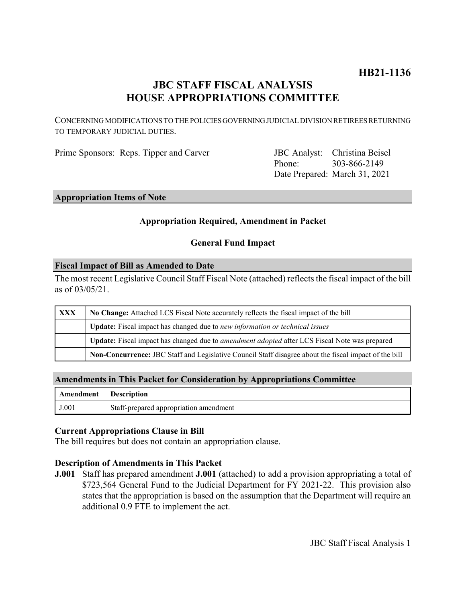# **HB21-1136**

# **JBC STAFF FISCAL ANALYSIS HOUSE APPROPRIATIONS COMMITTEE**

CONCERNING MODIFICATIONS TO THE POLICIES GOVERNING JUDICIAL DIVISION RETIREES RETURNING TO TEMPORARY JUDICIAL DUTIES.

Prime Sponsors: Reps. Tipper and Carver

Phone: Date Prepared: March 31, 2021 JBC Analyst: Christina Beisel 303-866-2149

### **Appropriation Items of Note**

### **Appropriation Required, Amendment in Packet**

#### **General Fund Impact**

#### **Fiscal Impact of Bill as Amended to Date**

The most recent Legislative Council Staff Fiscal Note (attached) reflects the fiscal impact of the bill as of 03/05/21.

| XXX | No Change: Attached LCS Fiscal Note accurately reflects the fiscal impact of the bill                 |
|-----|-------------------------------------------------------------------------------------------------------|
|     | Update: Fiscal impact has changed due to new information or technical issues                          |
|     | Update: Fiscal impact has changed due to <i>amendment adopted</i> after LCS Fiscal Note was prepared  |
|     | Non-Concurrence: JBC Staff and Legislative Council Staff disagree about the fiscal impact of the bill |

#### **Amendments in This Packet for Consideration by Appropriations Committee**

| Amendment Description |                                        |
|-----------------------|----------------------------------------|
| J.001                 | Staff-prepared appropriation amendment |

#### **Current Appropriations Clause in Bill**

The bill requires but does not contain an appropriation clause.

#### **Description of Amendments in This Packet**

**J.001** Staff has prepared amendment **J.001** (attached) to add a provision appropriating a total of \$723,564 General Fund to the Judicial Department for FY 2021-22. This provision also states that the appropriation is based on the assumption that the Department will require an additional 0.9 FTE to implement the act.